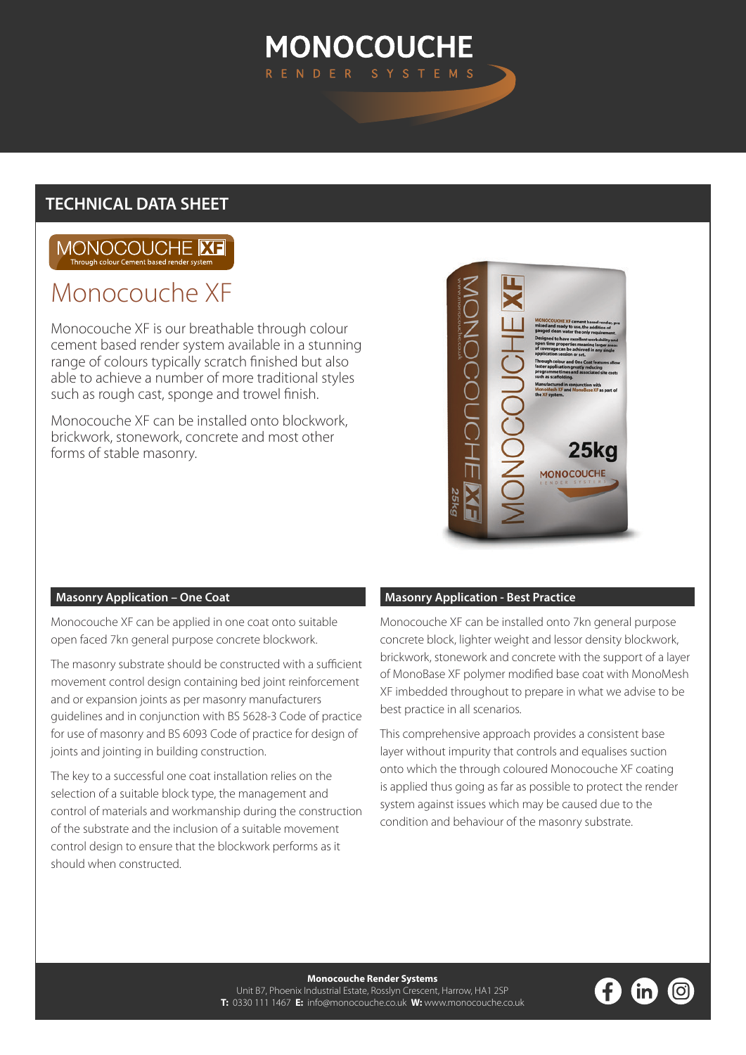# **MONOCOUCHE**

### **TECHNICAL DATA SHEET**

#### MONOCOUCHE **ME** Through colour Cement based re

## Monocouche XF

Monocouche XF is our breathable through colour cement based render system available in a stunning range of colours typically scratch finished but also able to achieve a number of more traditional styles such as rough cast, sponge and trowel finish.

Monocouche XF can be installed onto blockwork, brickwork, stonework, concrete and most other forms of stable masonry.



#### **Masonry Application – One Coat**

Monocouche XF can be applied in one coat onto suitable open faced 7kn general purpose concrete blockwork.

The masonry substrate should be constructed with a sufficient movement control design containing bed joint reinforcement and or expansion joints as per masonry manufacturers guidelines and in conjunction with BS 5628-3 Code of practice for use of masonry and BS 6093 Code of practice for design of joints and jointing in building construction.

The key to a successful one coat installation relies on the selection of a suitable block type, the management and control of materials and workmanship during the construction of the substrate and the inclusion of a suitable movement control design to ensure that the blockwork performs as it should when constructed.

#### **Masonry Application - Best Practice**

Monocouche XF can be installed onto 7kn general purpose concrete block, lighter weight and lessor density blockwork, brickwork, stonework and concrete with the support of a layer of MonoBase XF polymer modified base coat with MonoMesh XF imbedded throughout to prepare in what we advise to be best practice in all scenarios.

This comprehensive approach provides a consistent base layer without impurity that controls and equalises suction onto which the through coloured Monocouche XF coating is applied thus going as far as possible to protect the render system against issues which may be caused due to the condition and behaviour of the masonry substrate.